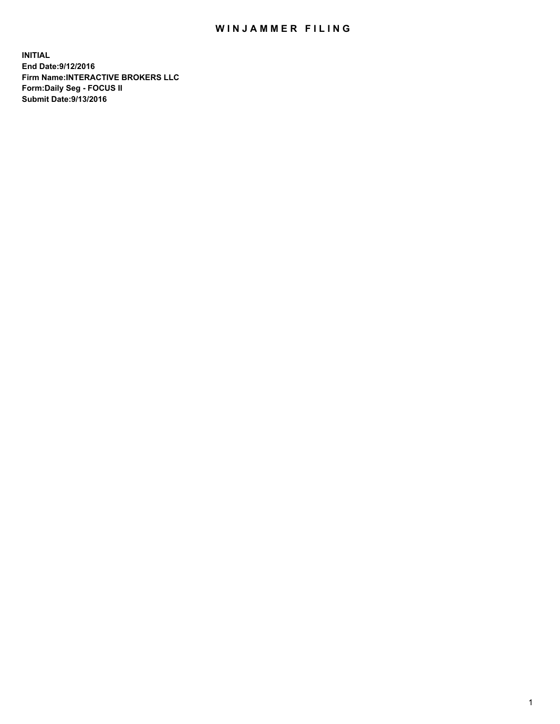## WIN JAMMER FILING

**INITIAL End Date:9/12/2016 Firm Name:INTERACTIVE BROKERS LLC Form:Daily Seg - FOCUS II Submit Date:9/13/2016**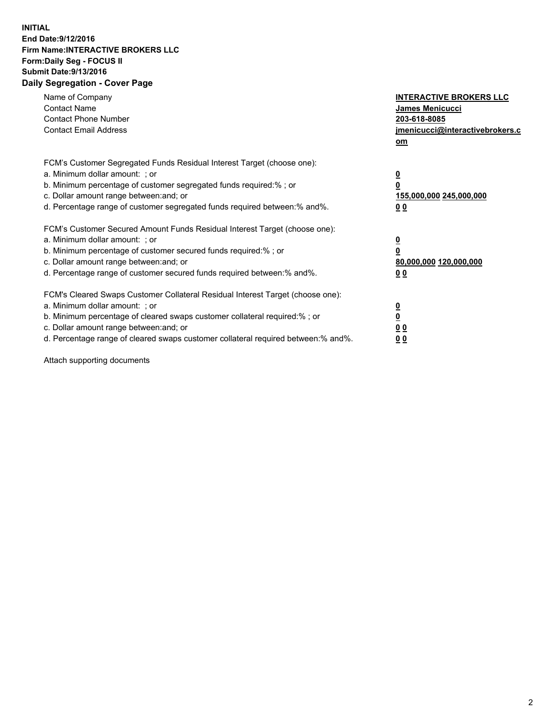## **INITIAL End Date:9/12/2016 Firm Name:INTERACTIVE BROKERS LLC Form:Daily Seg - FOCUS II Submit Date:9/13/2016 Daily Segregation - Cover Page**

| Name of Company<br><b>Contact Name</b><br><b>Contact Phone Number</b><br><b>Contact Email Address</b>                                                                                                                                                                                                                          | <b>INTERACTIVE BROKERS LLC</b><br><b>James Menicucci</b><br>203-618-8085<br>jmenicucci@interactivebrokers.c<br>om |
|--------------------------------------------------------------------------------------------------------------------------------------------------------------------------------------------------------------------------------------------------------------------------------------------------------------------------------|-------------------------------------------------------------------------------------------------------------------|
| FCM's Customer Segregated Funds Residual Interest Target (choose one):<br>a. Minimum dollar amount: ; or<br>b. Minimum percentage of customer segregated funds required:% ; or<br>c. Dollar amount range between: and; or<br>d. Percentage range of customer segregated funds required between: % and %.                       | $\overline{\mathbf{0}}$<br>0<br>155,000,000 245,000,000<br>00                                                     |
| FCM's Customer Secured Amount Funds Residual Interest Target (choose one):<br>a. Minimum dollar amount: ; or<br>b. Minimum percentage of customer secured funds required:%; or<br>c. Dollar amount range between: and; or<br>d. Percentage range of customer secured funds required between: % and %.                          | $\overline{\mathbf{0}}$<br>0<br>80,000,000 120,000,000<br>00                                                      |
| FCM's Cleared Swaps Customer Collateral Residual Interest Target (choose one):<br>a. Minimum dollar amount: ; or<br>b. Minimum percentage of cleared swaps customer collateral required:% ; or<br>c. Dollar amount range between: and; or<br>d. Percentage range of cleared swaps customer collateral required between:% and%. | $\overline{\mathbf{0}}$<br>$\overline{\mathbf{0}}$<br>00<br>0 <sub>0</sub>                                        |

Attach supporting documents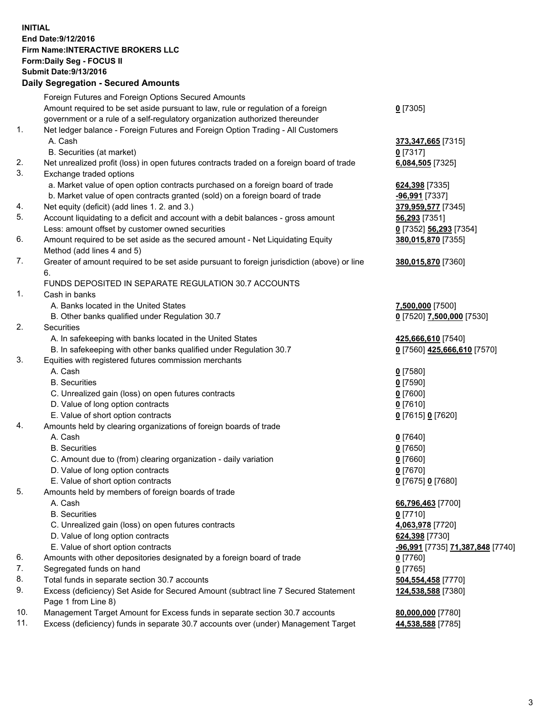## **INITIAL End Date:9/12/2016 Firm Name:INTERACTIVE BROKERS LLC Form:Daily Seg - FOCUS II Submit Date:9/13/2016 Daily Segregation - Secured Amounts**

|     | Daily Jegregation - Jeculed Aniounts                                                                       |                                  |
|-----|------------------------------------------------------------------------------------------------------------|----------------------------------|
|     | Foreign Futures and Foreign Options Secured Amounts                                                        |                                  |
|     | Amount required to be set aside pursuant to law, rule or regulation of a foreign                           | $0$ [7305]                       |
|     | government or a rule of a self-regulatory organization authorized thereunder                               |                                  |
| 1.  | Net ledger balance - Foreign Futures and Foreign Option Trading - All Customers                            |                                  |
|     | A. Cash                                                                                                    | 373,347,665 [7315]               |
|     | B. Securities (at market)                                                                                  | $0$ [7317]                       |
| 2.  | Net unrealized profit (loss) in open futures contracts traded on a foreign board of trade                  | 6,084,505 [7325]                 |
| 3.  | Exchange traded options                                                                                    |                                  |
|     | a. Market value of open option contracts purchased on a foreign board of trade                             | 624,398 [7335]                   |
|     | b. Market value of open contracts granted (sold) on a foreign board of trade                               | -96,991 [7337]                   |
| 4.  | Net equity (deficit) (add lines 1.2. and 3.)                                                               | 379,959,577 [7345]               |
| 5.  | Account liquidating to a deficit and account with a debit balances - gross amount                          | 56,293 [7351]                    |
|     | Less: amount offset by customer owned securities                                                           | 0 [7352] 56,293 [7354]           |
| 6.  | Amount required to be set aside as the secured amount - Net Liquidating Equity                             | 380,015,870 [7355]               |
|     | Method (add lines 4 and 5)                                                                                 |                                  |
| 7.  | Greater of amount required to be set aside pursuant to foreign jurisdiction (above) or line                | 380,015,870 [7360]               |
|     | 6.                                                                                                         |                                  |
|     | FUNDS DEPOSITED IN SEPARATE REGULATION 30.7 ACCOUNTS                                                       |                                  |
| 1.  | Cash in banks                                                                                              |                                  |
|     | A. Banks located in the United States                                                                      | 7,500,000 [7500]                 |
|     | B. Other banks qualified under Regulation 30.7                                                             | 0 [7520] 7,500,000 [7530]        |
| 2.  | Securities                                                                                                 |                                  |
|     | A. In safekeeping with banks located in the United States                                                  | 425,666,610 [7540]               |
|     | B. In safekeeping with other banks qualified under Regulation 30.7                                         | 0 [7560] 425,666,610 [7570]      |
| 3.  | Equities with registered futures commission merchants                                                      |                                  |
|     | A. Cash                                                                                                    | $0$ [7580]                       |
|     | <b>B.</b> Securities                                                                                       | $0$ [7590]                       |
|     | C. Unrealized gain (loss) on open futures contracts                                                        | $0$ [7600]                       |
|     | D. Value of long option contracts                                                                          | $0$ [7610]                       |
|     | E. Value of short option contracts                                                                         | 0 [7615] 0 [7620]                |
| 4.  | Amounts held by clearing organizations of foreign boards of trade                                          |                                  |
|     | A. Cash                                                                                                    | $0$ [7640]                       |
|     | <b>B.</b> Securities                                                                                       | $0$ [7650]                       |
|     | C. Amount due to (from) clearing organization - daily variation                                            | $0$ [7660]                       |
|     | D. Value of long option contracts                                                                          | $0$ [7670]                       |
|     | E. Value of short option contracts                                                                         | 0 [7675] 0 [7680]                |
| 5.  | Amounts held by members of foreign boards of trade                                                         |                                  |
|     | A. Cash                                                                                                    | 66,796,463 [7700]                |
|     | <b>B.</b> Securities                                                                                       | $0$ [7710]                       |
|     | C. Unrealized gain (loss) on open futures contracts                                                        | 4,063,978 [7720]                 |
|     | D. Value of long option contracts                                                                          | 624,398 [7730]                   |
|     | E. Value of short option contracts                                                                         | -96,991 [7735] 71,387,848 [7740] |
| 6.  | Amounts with other depositories designated by a foreign board of trade                                     | $0$ [7760]                       |
| 7.  | Segregated funds on hand                                                                                   | $0$ [7765]                       |
| 8.  | Total funds in separate section 30.7 accounts                                                              | 504,554,458 [7770]               |
| 9.  | Excess (deficiency) Set Aside for Secured Amount (subtract line 7 Secured Statement<br>Page 1 from Line 8) | 124,538,588 [7380]               |
| 10. | Management Target Amount for Excess funds in separate section 30.7 accounts                                | 80,000,000 [7780]                |
| 11. | Excess (deficiency) funds in separate 30.7 accounts over (under) Management Target                         | 44,538,588 [7785]                |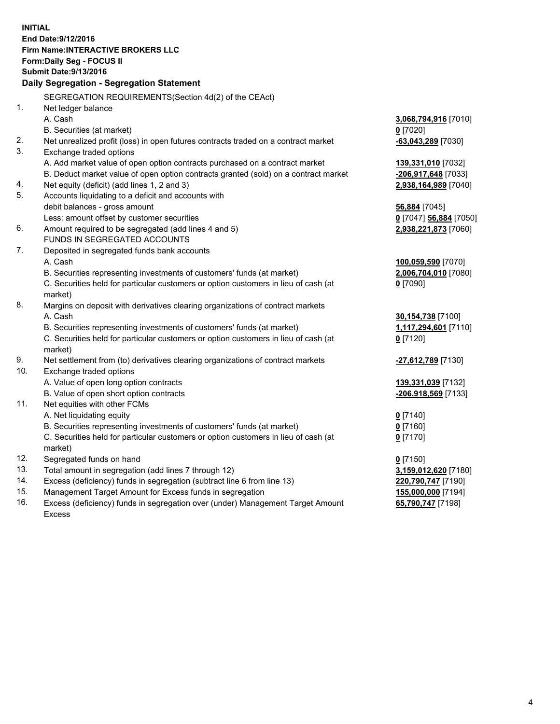**INITIAL End Date:9/12/2016 Firm Name:INTERACTIVE BROKERS LLC Form:Daily Seg - FOCUS II Submit Date:9/13/2016 Daily Segregation - Segregation Statement** SEGREGATION REQUIREMENTS(Section 4d(2) of the CEAct) 1. Net ledger balance A. Cash **3,068,794,916** [7010] B. Securities (at market) **0** [7020] 2. Net unrealized profit (loss) in open futures contracts traded on a contract market **-63,043,289** [7030] 3. Exchange traded options A. Add market value of open option contracts purchased on a contract market **139,331,010** [7032] B. Deduct market value of open option contracts granted (sold) on a contract market **-206,917,648** [7033] 4. Net equity (deficit) (add lines 1, 2 and 3) **2,938,164,989** [7040] 5. Accounts liquidating to a deficit and accounts with debit balances - gross amount **56,884** [7045] Less: amount offset by customer securities **0** [7047] **56,884** [7050] 6. Amount required to be segregated (add lines 4 and 5) **2,938,221,873** [7060] FUNDS IN SEGREGATED ACCOUNTS 7. Deposited in segregated funds bank accounts A. Cash **100,059,590** [7070] B. Securities representing investments of customers' funds (at market) **2,006,704,010** [7080] C. Securities held for particular customers or option customers in lieu of cash (at market) **0** [7090] 8. Margins on deposit with derivatives clearing organizations of contract markets A. Cash **30,154,738** [7100] B. Securities representing investments of customers' funds (at market) **1,117,294,601** [7110] C. Securities held for particular customers or option customers in lieu of cash (at market) **0** [7120] 9. Net settlement from (to) derivatives clearing organizations of contract markets **-27,612,789** [7130] 10. Exchange traded options A. Value of open long option contracts **139,331,039** [7132] B. Value of open short option contracts **-206,918,569** [7133] 11. Net equities with other FCMs A. Net liquidating equity **0** [7140] B. Securities representing investments of customers' funds (at market) **0** [7160] C. Securities held for particular customers or option customers in lieu of cash (at market) **0** [7170] 12. Segregated funds on hand **0** [7150] 13. Total amount in segregation (add lines 7 through 12) **3,159,012,620** [7180] 14. Excess (deficiency) funds in segregation (subtract line 6 from line 13) **220,790,747** [7190] 15. Management Target Amount for Excess funds in segregation **155,000,000** [7194] **65,790,747** [7198]

16. Excess (deficiency) funds in segregation over (under) Management Target Amount Excess